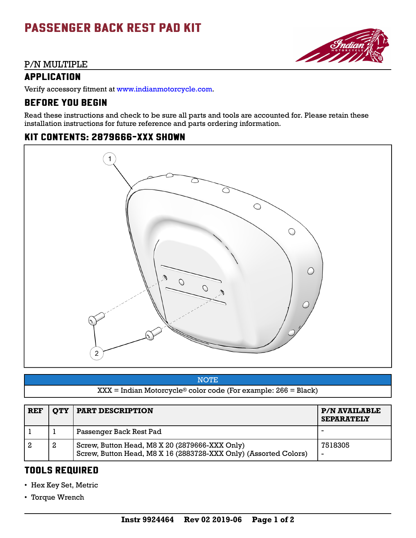# PASSENGER BACK REST PAD KIT

#### P/N MULTIPLE

### APPLICATION

Verify accessory fitment at [www.indianmotorcycle.com](https://www.indianmotorcycle.com/en-us/).

## BEFORE YOU BEGIN

Read these instructions and check to be sure all parts and tools are accounted for. Please retain these installation instructions for future reference and parts ordering information.

**SSI** 

## KIT CONTENTS: 2879666-XXX SHOWN



**NOTE** 

XXX = Indian Motorcycle® color code (For example: 266 = Black)

| <b>REF</b> |   | <b>QTY   PART DESCRIPTION</b>                                                                                      | <b>P/N AVAILABLE</b><br><b>SEPARATELY</b> |
|------------|---|--------------------------------------------------------------------------------------------------------------------|-------------------------------------------|
|            |   | Passenger Back Rest Pad                                                                                            |                                           |
|            | 2 | Screw, Button Head, M8 X 20 (2879666-XXX Only)<br>Screw, Button Head, M8 X 16 (2883728-XXX Only) (Assorted Colors) | 7518305<br>$\overline{\phantom{0}}$       |

## TOOLS REQUIRED

- Hex Key Set, Metric
- Torque Wrench